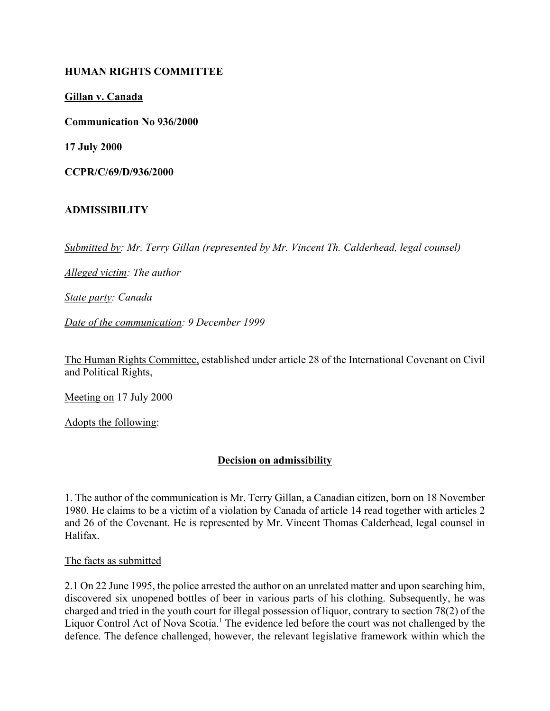## **HUMAN RIGHTS COMMITTEE**

**Gillan v. Canada**

**Communication No 936/2000**

**17 July 2000**

**CCPR/C/69/D/936/2000**

### **ADMISSIBILITY**

*Submitted by: Mr. Terry Gillan (represented by Mr. Vincent Th. Calderhead, legal counsel)*

*Alleged victim: The author*

*State party: Canada*

*Date of the communication: 9 December 1999*

The Human Rights Committee, established under article 28 of the International Covenant on Civil and Political Rights,

Meeting on 17 July 2000

Adopts the following:

## **Decision on admissibility**

1. The author of the communication is Mr. Terry Gillan, a Canadian citizen, born on 18 November 1980. He claims to be a victim of a violation by Canada of article 14 read together with articles 2 and 26 of the Covenant. He is represented by Mr. Vincent Thomas Calderhead, legal counsel in Halifax.

#### The facts as submitted

2.1 On 22 June 1995, the police arrested the author on an unrelated matter and upon searching him, discovered six unopened bottles of beer in various parts of his clothing. Subsequently, he was charged and tried in the youth court for illegal possession of liquor, contrary to section 78(2) of the Liquor Control Act of Nova Scotia.<sup>1</sup> The evidence led before the court was not challenged by the defence. The defence challenged, however, the relevant legislative framework within which the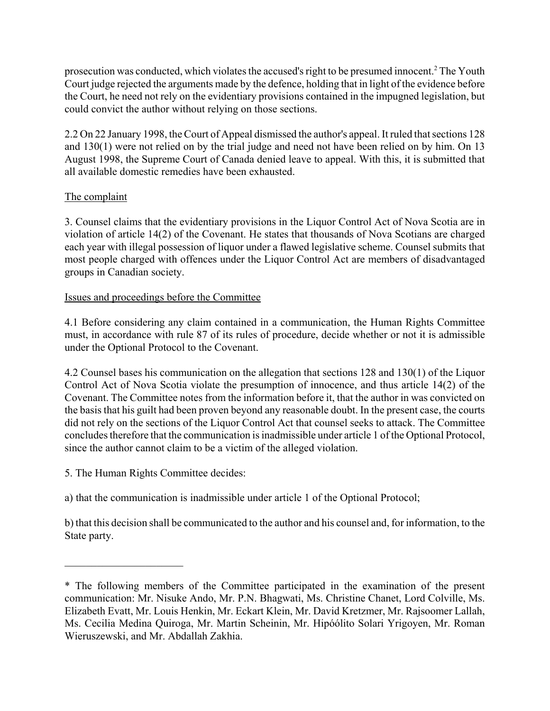prosecution was conducted, which violates the accused's right to be presumed innocent.<sup>2</sup> The Youth Court judge rejected the arguments made by the defence, holding that in light of the evidence before the Court, he need not rely on the evidentiary provisions contained in the impugned legislation, but could convict the author without relying on those sections.

2.2 On 22 January 1998, the Court of Appeal dismissed the author's appeal. It ruled that sections 128 and 130(1) were not relied on by the trial judge and need not have been relied on by him. On 13 August 1998, the Supreme Court of Canada denied leave to appeal. With this, it is submitted that all available domestic remedies have been exhausted.

# The complaint

3. Counsel claims that the evidentiary provisions in the Liquor Control Act of Nova Scotia are in violation of article 14(2) of the Covenant. He states that thousands of Nova Scotians are charged each year with illegal possession of liquor under a flawed legislative scheme. Counsel submits that most people charged with offences under the Liquor Control Act are members of disadvantaged groups in Canadian society.

## Issues and proceedings before the Committee

4.1 Before considering any claim contained in a communication, the Human Rights Committee must, in accordance with rule 87 of its rules of procedure, decide whether or not it is admissible under the Optional Protocol to the Covenant.

4.2 Counsel bases his communication on the allegation that sections 128 and 130(1) of the Liquor Control Act of Nova Scotia violate the presumption of innocence, and thus article 14(2) of the Covenant. The Committee notes from the information before it, that the author in was convicted on the basis that his guilt had been proven beyond any reasonable doubt. In the present case, the courts did not rely on the sections of the Liquor Control Act that counsel seeks to attack. The Committee concludes therefore that the communication is inadmissible under article 1 of the Optional Protocol, since the author cannot claim to be a victim of the alleged violation.

5. The Human Rights Committee decides:

 $\overline{\phantom{a}}$  , where  $\overline{\phantom{a}}$  , where  $\overline{\phantom{a}}$ 

a) that the communication is inadmissible under article 1 of the Optional Protocol;

b) that this decision shall be communicated to the author and his counsel and, for information, to the State party.

<sup>\*</sup> The following members of the Committee participated in the examination of the present communication: Mr. Nisuke Ando, Mr. P.N. Bhagwati, Ms. Christine Chanet, Lord Colville, Ms. Elizabeth Evatt, Mr. Louis Henkin, Mr. Eckart Klein, Mr. David Kretzmer, Mr. Rajsoomer Lallah, Ms. Cecilia Medina Quiroga, Mr. Martin Scheinin, Mr. Hipóólito Solari Yrigoyen, Mr. Roman Wieruszewski, and Mr. Abdallah Zakhia.